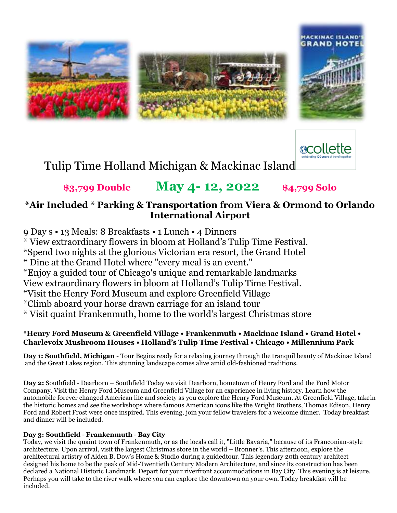



Tulip Time Holland Michigan & Mackinac Island

# **\$3,799 Double May 4- 12, 2022 \$4,799 Solo**

# **\*Air Included \* Parking & Transportation from Viera & Ormond to Orlando International Airport**

9 Day s • 13 Meals: 8 Breakfasts • 1 Lunch • 4 Dinners \* View extraordinary flowers in bloom at Holland's Tulip Time Festival. \*Spend two nights at the glorious Victorian era resort, the Grand Hotel \* Dine at the Grand Hotel where "every meal is an event." \*Enjoy a guided tour of Chicago's unique and remarkable landmarks View extraordinary flowers in bloom at Holland's Tulip Time Festival. \*Visit the Henry Ford Museum and explore Greenfield Village \*Climb aboard your horse drawn carriage for an island tour \* Visit quaint Frankenmuth, home to the world's largest Christmas store

## **\*Henry Ford Museum & Greenfield Village • Frankenmuth • Mackinac Island • Grand Hotel • Charlevoix Mushroom Houses • Holland's Tulip Time Festival • Chicago • Millennium Park**

**Day 1: Southfield, Michigan** - Tour Begins ready for a relaxing journey through the tranquil beauty of Mackinac Island and the Great Lakes region. This stunning landscape comes alive amid old-fashioned traditions.

**Day 2:** Southfield - Dearborn – Southfield Today we visit Dearborn, hometown of Henry Ford and the Ford Motor Company. Visit the Henry Ford Museum and Greenfield Village for an experience in living history. Learn how the automobile forever changed American life and society as you explore the Henry Ford Museum. At Greenfield Village, takein the historic homes and see the workshops where famous American icons like the Wright Brothers, Thomas Edison, Henry Ford and Robert Frost were once inspired. This evening, join your fellow travelers for a welcome dinner. Today breakfast and dinner will be included.

### **Day 3: Southfield - Frankenmuth - Bay City**

Today, we visit the quaint town of Frankenmuth, or as the locals call it, "Little Bavaria," because of its Franconian-style architecture. Upon arrival, visit the largest Christmas store in the world – Bronner's. This afternoon, explore the architectural artistry of Alden B. Dow's Home & Studio during a guidedtour. This legendary 20th century architect designed his home to be the peak of Mid-Twentieth Century Modern Architecture, and since its construction has been declared a National Historic Landmark. Depart for your riverfront accommodations in Bay City. This evening is at leisure. Perhaps you will take to the river walk where you can explore the downtown on your own. Today breakfast will be included.